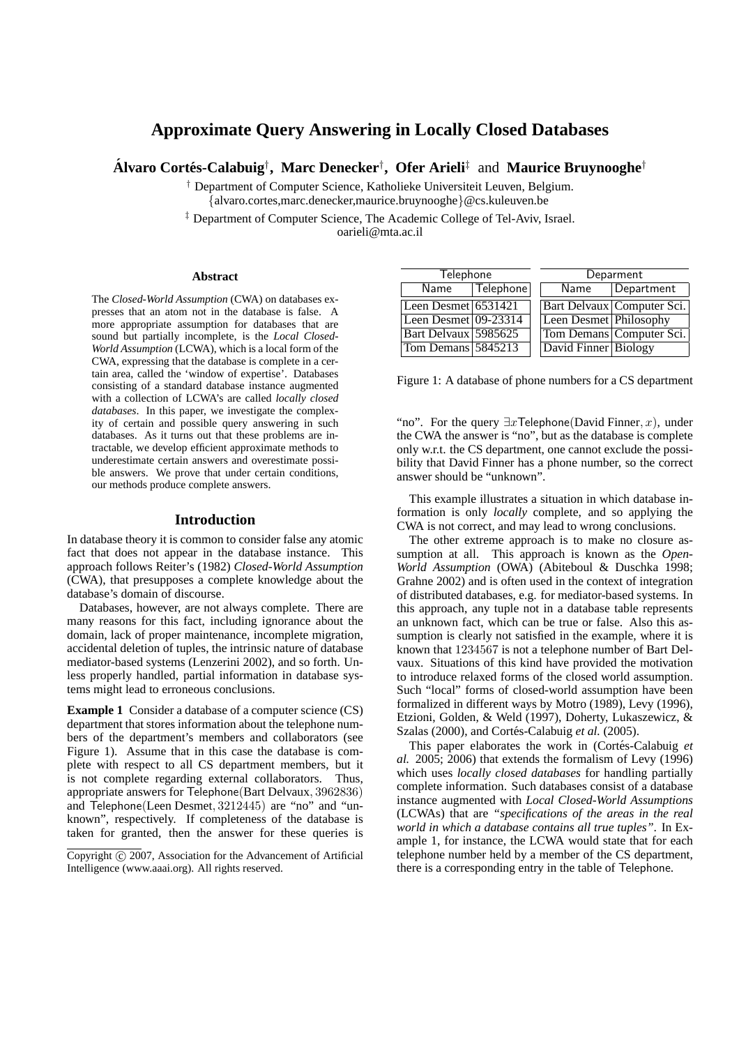# **Approximate Query Answering in Locally Closed Databases**

 $\acute{\bf A}$ lvaro Cortés-Calabuig<sup>†</sup>, Marc Denecker<sup>†</sup>, Ofer Arieli<sup>‡</sup> and Maurice Bruynooghe<sup>†</sup>

† Department of Computer Science, Katholieke Universiteit Leuven, Belgium. {alvaro.cortes,marc.denecker,maurice.bruynooghe}@cs.kuleuven.be

‡ Department of Computer Science, The Academic College of Tel-Aviv, Israel. oarieli@mta.ac.il

#### **Abstract**

The *Closed-World Assumption* (CWA) on databases expresses that an atom not in the database is false. A more appropriate assumption for databases that are sound but partially incomplete, is the *Local Closed-World Assumption* (LCWA), which is a local form of the CWA, expressing that the database is complete in a certain area, called the 'window of expertise'. Databases consisting of a standard database instance augmented with a collection of LCWA's are called *locally closed databases*. In this paper, we investigate the complexity of certain and possible query answering in such databases. As it turns out that these problems are intractable, we develop efficient approximate methods to underestimate certain answers and overestimate possible answers. We prove that under certain conditions, our methods produce complete answers.

#### **Introduction**

In database theory it is common to consider false any atomic fact that does not appear in the database instance. This approach follows Reiter's (1982) *Closed-World Assumption* (CWA), that presupposes a complete knowledge about the database's domain of discourse.

Databases, however, are not always complete. There are many reasons for this fact, including ignorance about the domain, lack of proper maintenance, incomplete migration, accidental deletion of tuples, the intrinsic nature of database mediator-based systems (Lenzerini 2002), and so forth. Unless properly handled, partial information in database systems might lead to erroneous conclusions.

**Example 1** Consider a database of a computer science (CS) department that stores information about the telephone numbers of the department's members and collaborators (see Figure 1). Assume that in this case the database is complete with respect to all CS department members, but it is not complete regarding external collaborators. Thus, appropriate answers for Telephone(Bart Delvaux, 3962836) and Telephone(Leen Desmet, 3212445) are "no" and "unknown", respectively. If completeness of the database is taken for granted, then the answer for these queries is

| <b>Telephone</b>      |           | Deparment              |                            |  |
|-----------------------|-----------|------------------------|----------------------------|--|
| Name                  | Telephone | Name                   | Department                 |  |
| Leen Desmet $6531421$ |           |                        | Bart Delvaux Computer Sci. |  |
| Leen Desmet 09-23314  |           | Leen Desmet Philosophy |                            |  |
| Bart Delvaux 5985625  |           |                        | Tom Demans Computer Sci.   |  |
| Tom Demans 5845213    |           | David Finner Biology   |                            |  |

Figure 1: A database of phone numbers for a CS department

"no". For the query  $\exists x$ Telephone(David Finner, x), under the CWA the answer is "no", but as the database is complete only w.r.t. the CS department, one cannot exclude the possibility that David Finner has a phone number, so the correct answer should be "unknown".

This example illustrates a situation in which database information is only *locally* complete, and so applying the CWA is not correct, and may lead to wrong conclusions.

The other extreme approach is to make no closure assumption at all. This approach is known as the *Open-World Assumption* (OWA) (Abiteboul & Duschka 1998; Grahne 2002) and is often used in the context of integration of distributed databases, e.g. for mediator-based systems. In this approach, any tuple not in a database table represents an unknown fact, which can be true or false. Also this assumption is clearly not satisfied in the example, where it is known that 1234567 is not a telephone number of Bart Delvaux. Situations of this kind have provided the motivation to introduce relaxed forms of the closed world assumption. Such "local" forms of closed-world assumption have been formalized in different ways by Motro (1989), Levy (1996), Etzioni, Golden, & Weld (1997), Doherty, Lukaszewicz, & Szalas (2000), and Cortés-Calabuig et al. (2005).

This paper elaborates the work in (Cortés-Calabuig et *al.* 2005; 2006) that extends the formalism of Levy (1996) which uses *locally closed databases* for handling partially complete information. Such databases consist of a database instance augmented with *Local Closed-World Assumptions* (LCWAs) that are *"specifications of the areas in the real world in which a database contains all true tuples"*. In Example 1, for instance, the LCWA would state that for each telephone number held by a member of the CS department, there is a corresponding entry in the table of Telephone.

 $\overline{Copyright}$  ( $\overline{c}$ ) 2007, Association for the Advancement of Artificial Intelligence (www.aaai.org). All rights reserved.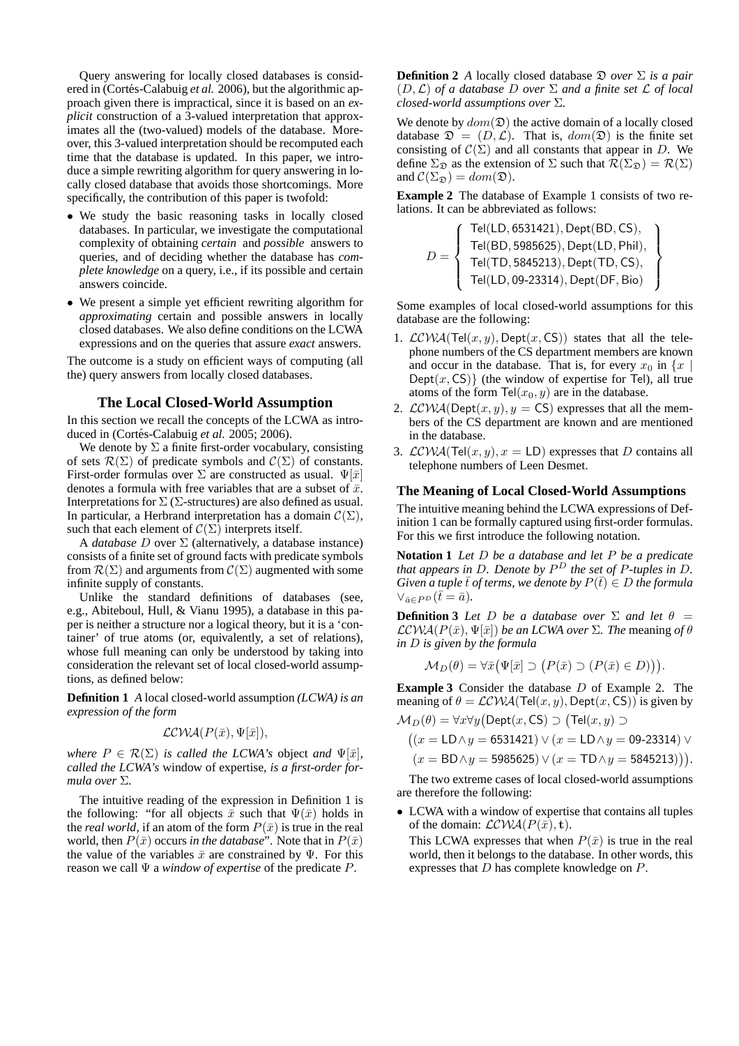Query answering for locally closed databases is considered in (Cortés-Calabuig et al. 2006), but the algorithmic approach given there is impractical, since it is based on an *explicit* construction of a 3-valued interpretation that approximates all the (two-valued) models of the database. Moreover, this 3-valued interpretation should be recomputed each time that the database is updated. In this paper, we introduce a simple rewriting algorithm for query answering in locally closed database that avoids those shortcomings. More specifically, the contribution of this paper is twofold:

- We study the basic reasoning tasks in locally closed databases. In particular, we investigate the computational complexity of obtaining *certain* and *possible* answers to queries, and of deciding whether the database has *complete knowledge* on a query, i.e., if its possible and certain answers coincide.
- We present a simple yet efficient rewriting algorithm for *approximating* certain and possible answers in locally closed databases. We also define conditions on the LCWA expressions and on the queries that assure *exact* answers.

The outcome is a study on efficient ways of computing (all the) query answers from locally closed databases.

# **The Local Closed-World Assumption**

In this section we recall the concepts of the LCWA as introduced in (Cortés-Calabuig et al. 2005; 2006).

We denote by  $\Sigma$  a finite first-order vocabulary, consisting of sets  $\mathcal{R}(\Sigma)$  of predicate symbols and  $\mathcal{C}(\Sigma)$  of constants. First-order formulas over  $\Sigma$  are constructed as usual.  $\Psi[\bar{x}]$ denotes a formula with free variables that are a subset of  $\bar{x}$ . Interpretations for  $\Sigma$  ( $\Sigma$ -structures) are also defined as usual. In particular, a Herbrand interpretation has a domain  $\mathcal{C}(\Sigma)$ , such that each element of  $\mathcal{C}(\Sigma)$  interprets itself.

A *database* D over Σ (alternatively, a database instance) consists of a finite set of ground facts with predicate symbols from  $\mathcal{R}(\Sigma)$  and arguments from  $\mathcal{C}(\Sigma)$  augmented with some infinite supply of constants.

Unlike the standard definitions of databases (see, e.g., Abiteboul, Hull, & Vianu 1995), a database in this paper is neither a structure nor a logical theory, but it is a 'container' of true atoms (or, equivalently, a set of relations), whose full meaning can only be understood by taking into consideration the relevant set of local closed-world assumptions, as defined below:

**Definition 1** *A* local closed-world assumption *(LCWA) is an expression of the form*

$$
\mathcal{LCWA}(P(\bar{x}), \Psi[\bar{x}]),
$$

*where*  $P \in \mathcal{R}(\Sigma)$  *is called the LCWA's* object *and*  $\Psi[\bar{x}]$ *, called the LCWA's* window of expertise*, is a first-order formula over* Σ*.*

The intuitive reading of the expression in Definition 1 is the following: "for all objects  $\bar{x}$  such that  $\Psi(\bar{x})$  holds in the *real world*, if an atom of the form  $P(\bar{x})$  is true in the real world, then  $P(\bar{x})$  occurs *in the database*". Note that in  $P(\bar{x})$ the value of the variables  $\bar{x}$  are constrained by Ψ. For this reason we call Ψ a *window of expertise* of the predicate P.

**Definition 2** *A* locally closed database  $\mathcal{D}$  *over*  $\Sigma$  *is a pair* (D,L) *of a database* D *over* Σ *and a finite set* L *of local closed-world assumptions over* Σ*.*

We denote by  $dom(\mathfrak{D})$  the active domain of a locally closed database  $\mathfrak{D} = (D, \mathcal{L})$ . That is,  $dom(\mathfrak{D})$  is the finite set consisting of  $C(\Sigma)$  and all constants that appear in D. We define  $\Sigma_{\mathfrak{D}}$  as the extension of  $\Sigma$  such that  $\mathcal{R}(\Sigma_{\mathfrak{D}}) = \mathcal{R}(\Sigma)$ and  $\mathcal{C}(\Sigma_{\mathfrak{D}}) = dom(\mathfrak{D}).$ 

**Example 2** The database of Example 1 consists of two relations. It can be abbreviated as follows:

$$
D = \left\{ \begin{array}{l} \mathsf{Tel}(\mathsf{LD},\mathsf{6531421}),\mathsf{Depth}(\mathsf{BD},\mathsf{CS}),\\ \mathsf{Tel}(\mathsf{BD},\mathsf{5985625}),\mathsf{Depth}(\mathsf{LD},\mathsf{Phil}),\\ \mathsf{Tel}(\mathsf{TD},\mathsf{5845213}),\mathsf{Depth}(\mathsf{TD},\mathsf{CS}),\\ \mathsf{Tel}(\mathsf{LD},\mathsf{09}\text{-23314}),\mathsf{Depth}(\mathsf{DF},\mathsf{Bio}) \end{array} \right\}
$$

Some examples of local closed-world assumptions for this database are the following:

- 1.  $LCWA(Tel(x, y), Dept(x, CS))$  states that all the telephone numbers of the CS department members are known and occur in the database. That is, for every  $x_0$  in  $\{x \mid$  $Depth(x, CS)$  (the window of expertise for Tel), all true atoms of the form  $\text{Tel}(x_0, y)$  are in the database.
- 2.  $LCWA(Dept(x, y), y = CS)$  expresses that all the members of the CS department are known and are mentioned in the database.
- 3.  $LCWA(Tel(x, y), x = LD)$  expresses that D contains all telephone numbers of Leen Desmet.

#### **The Meaning of Local Closed-World Assumptions**

The intuitive meaning behind the LCWA expressions of Definition 1 can be formally captured using first-order formulas. For this we first introduce the following notation.

**Notation 1** *Let* D *be a database and let* P *be a predicate that appears in* D*. Denote by* P <sup>D</sup> *the set of* P*-tuples in* D*. Given a tuple*  $\bar{t}$  *of terms, we denote by*  $P(\bar{t}) \in D$  *the formula*  $\vee_{\bar{a}\in P^D} (\bar{t}=\bar{a}).$ 

**Definition 3** *Let D be a database over*  $\Sigma$  *and let*  $\theta$  =  $LCWA(P(\bar{x}), \Psi[\bar{x}])$  *be an LCWA over*  $\Sigma$ *. The meaning of*  $\theta$ *in* D *is given by the formula*

$$
\mathcal{M}_D(\theta) = \forall \bar{x} \big( \Psi[\bar{x}] \supset (P(\bar{x}) \supset (P(\bar{x}) \in D)) \big).
$$

**Example 3** Consider the database D of Example 2. The meaning of  $\theta = \text{LCWA}(Tel(x, y), \text{Depth}(x, \text{CS}))$  is given by  $\mathcal{M}_D(\theta) = \forall x \forall y \big(\mathsf{Depth}(x,\mathsf{CS}) \supset \big(\mathsf{Tel}(x,y) \supset$ 

$$
((x = \text{LD} \land y = 6531421) \lor (x = \text{LD} \land y = 09\text{-}23314) \lor
$$

$$
(x = BD \land y = 5985625) \lor (x = TD \land y = 5845213)).
$$

The two extreme cases of local closed-world assumptions are therefore the following:

• LCWA with a window of expertise that contains all tuples of the domain:  $LCWA(P(\bar{x}), t)$ .

This LCWA expresses that when  $P(\bar{x})$  is true in the real world, then it belongs to the database. In other words, this expresses that D has complete knowledge on P.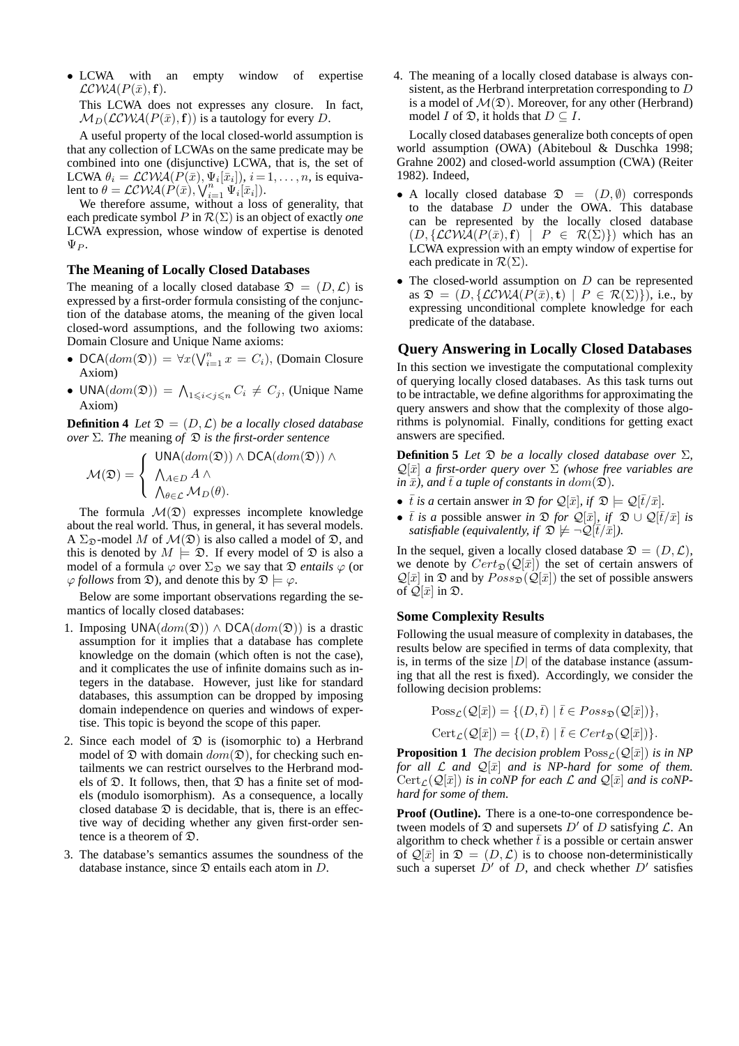• LCWA with an empty window of expertise  $LCWA(P(\bar{x}), \mathbf{f}).$ 

This LCWA does not expresses any closure. In fact,  $\mathcal{M}_D(\mathcal{LCWA}(P(\bar{x}), \mathbf{f}))$  is a tautology for every D.

A useful property of the local closed-world assumption is that any collection of LCWAs on the same predicate may be combined into one (disjunctive) LCWA, that is, the set of LCWA  $\theta_i = \mathcal{LCWA}(P(\bar{x}), \Psi_i[\bar{x}_i]), i = 1, \dots, n$ , is equivalent to  $\theta = \mathcal{LCWA}(P(\bar{x}), \bigvee_{i=1}^{n} \Psi_i[\bar{x}_i]).$ 

We therefore assume, without a loss of generality, that each predicate symbol P in  $\mathcal{R}(\Sigma)$  is an object of exactly *one* LCWA expression, whose window of expertise is denoted  $\Psi_P$ .

### **The Meaning of Locally Closed Databases**

The meaning of a locally closed database  $\mathfrak{D} = (D, \mathcal{L})$  is expressed by a first-order formula consisting of the conjunction of the database atoms, the meaning of the given local closed-word assumptions, and the following two axioms: Domain Closure and Unique Name axioms:

- DCA $(dom(\mathfrak{D})) = \forall x (\bigvee_{i=1}^{n} x = C_i)$ , (Domain Closure Axiom)
- UNA $(dom(\mathfrak{D})) = \bigwedge_{1 \leq i < j \leq n} C_i \neq C_j$ , (Unique Name Axiom)

**Definition 4** *Let*  $\mathfrak{D} = (D, \mathcal{L})$  *be a locally closed database over* Σ*. The* meaning *of* D *is the first-order sentence*

$$
\mathcal{M}(\mathfrak{D}) = \left\{ \begin{array}{l} \mathsf{UNA}(dom(\mathfrak{D})) \wedge \mathsf{DCA}(dom(\mathfrak{D})) \wedge \\ \bigwedge_{A \in D} A \wedge \\ \bigwedge_{\theta \in \mathcal{L}} \mathcal{M}_D(\theta). \end{array} \right.
$$

The formula  $\mathcal{M}(\mathfrak{D})$  expresses incomplete knowledge about the real world. Thus, in general, it has several models. A  $\Sigma_{\mathfrak{D}}$ -model M of  $\mathcal{M}(\mathfrak{D})$  is also called a model of  $\mathfrak{D}$ , and this is denoted by  $M \models \mathfrak{D}$ . If every model of  $\mathfrak{D}$  is also a model of a formula  $\varphi$  over  $\Sigma_{\mathfrak{D}}$  we say that  $\mathfrak{D}$  *entails*  $\varphi$  (or  $\varphi$  *follows* from  $\mathfrak{D}$ , and denote this by  $\mathfrak{D} \models \varphi$ .

Below are some important observations regarding the semantics of locally closed databases:

- 1. Imposing  $UNA(dom(\mathfrak{D})) \wedge DCA(dom(\mathfrak{D}))$  is a drastic assumption for it implies that a database has complete knowledge on the domain (which often is not the case), and it complicates the use of infinite domains such as integers in the database. However, just like for standard databases, this assumption can be dropped by imposing domain independence on queries and windows of expertise. This topic is beyond the scope of this paper.
- 2. Since each model of  $\mathfrak D$  is (isomorphic to) a Herbrand model of  $\mathfrak D$  with domain  $dom(\mathfrak D)$ , for checking such entailments we can restrict ourselves to the Herbrand models of  $\mathfrak D$ . It follows, then, that  $\mathfrak D$  has a finite set of models (modulo isomorphism). As a consequence, a locally closed database  $\mathfrak D$  is decidable, that is, there is an effective way of deciding whether any given first-order sentence is a theorem of D.
- 3. The database's semantics assumes the soundness of the database instance, since  $\mathfrak D$  entails each atom in  $D$ .

4. The meaning of a locally closed database is always consistent, as the Herbrand interpretation corresponding to D is a model of  $\mathcal{M}(\mathfrak{D})$ . Moreover, for any other (Herbrand) model *I* of  $\mathfrak{D}$ , it holds that  $D \subseteq I$ .

Locally closed databases generalize both concepts of open world assumption (OWA) (Abiteboul & Duschka 1998; Grahne 2002) and closed-world assumption (CWA) (Reiter 1982). Indeed,

- A locally closed database  $\mathfrak{D} = (D, \emptyset)$  corresponds to the database D under the OWA. This database can be represented by the locally closed database  $(D, \{LCWA(P(\bar{x}), f) \mid P \in \mathcal{R}(\Sigma)\})$  which has an LCWA expression with an empty window of expertise for each predicate in  $\mathcal{R}(\Sigma)$ .
- The closed-world assumption on  $D$  can be represented as  $\mathfrak{D} = (D, \{LCWA(P(\bar{x}), \mathbf{t}) \mid P \in \mathcal{R}(\Sigma)\})$ , i.e., by expressing unconditional complete knowledge for each predicate of the database.

# **Query Answering in Locally Closed Databases**

In this section we investigate the computational complexity of querying locally closed databases. As this task turns out to be intractable, we define algorithms for approximating the query answers and show that the complexity of those algorithms is polynomial. Finally, conditions for getting exact answers are specified.

**Definition 5** *Let*  $\mathfrak{D}$  *be a locally closed database over*  $\Sigma$ *,*  $\mathcal{Q}[\bar{x}]$  *a first-order query over*  $\Sigma$  *(whose free variables are in*  $\bar{x}$ *), and*  $\bar{t}$  *a tuple of constants in dom*( $\tilde{\mathfrak{D}}$ *).* 

- $\bar{t}$  *is a* certain answer *in*  $\mathfrak{D}$  *for*  $\mathcal{Q}[\bar{x}]$ *, if*  $\mathfrak{D} \models \mathcal{Q}[\bar{t}/\bar{x}]$ *.*
- $\bar{t}$  *is a* possible answer *in*  $\mathfrak{D}$  *for*  $\mathcal{Q}[\bar{x}]$ *, if*  $\mathfrak{D} \cup \mathcal{Q}[\bar{t}/\bar{x}]$  *is satisfiable (equivalently, if*  $\mathfrak{D} \not\models \neg \mathcal{Q}(\overline{t}/\overline{x})$ *).*

In the sequel, given a locally closed database  $\mathfrak{D} = (D, \mathcal{L}),$ we denote by  $Cert_{\mathfrak{D}}(Q[\bar{x}])$  the set of certain answers of  $\mathcal{Q}[\bar{x}]$  in  $\mathfrak D$  and by  $Poss_{\mathfrak D}(\mathcal{Q}[\bar{x}])$  the set of possible answers of  $\mathcal{Q}[\bar{x}]$  in  $\mathfrak{D}$ .

### **Some Complexity Results**

Following the usual measure of complexity in databases, the results below are specified in terms of data complexity, that is, in terms of the size  $|D|$  of the database instance (assuming that all the rest is fixed). Accordingly, we consider the following decision problems:

$$
Poss_{\mathcal{L}}(\mathcal{Q}[\bar{x}]) = \{ (D, \bar{t}) \mid \bar{t} \in Poss_{\mathfrak{D}}(\mathcal{Q}[\bar{x}]) \},
$$
  

$$
Cert_{\mathcal{L}}(\mathcal{Q}[\bar{x}]) = \{ (D, \bar{t}) \mid \bar{t} \in Cert_{\mathfrak{D}}(\mathcal{Q}[\bar{x}]) \}.
$$

**Proposition 1** *The decision problem*  $Poss_{\mathcal{L}}(Q[\bar{x}])$  *is in NP for all*  $\mathcal{L}$  *and*  $\mathcal{Q}[\bar{x}]$  *and is NP-hard for some of them.*  $\mathrm{Cert}_{\mathcal{L}}(\mathcal{Q}[\bar{x}])$  *is in coNP for each*  $\mathcal{L}$  *and*  $\mathcal{Q}[\bar{x}]$  *and is coNPhard for some of them.*

**Proof (Outline).** There is a one-to-one correspondence between models of  $\mathfrak D$  and supersets  $D'$  of  $D$  satisfying  $\mathcal L$ . An algorithm to check whether  $\bar{t}$  is a possible or certain answer of  $\mathcal{Q}[\bar{x}]$  in  $\mathfrak{D} = (D, \mathcal{L})$  is to choose non-deterministically such a superset  $\dot{D}'$  of  $D$ , and check whether  $D'$  satisfies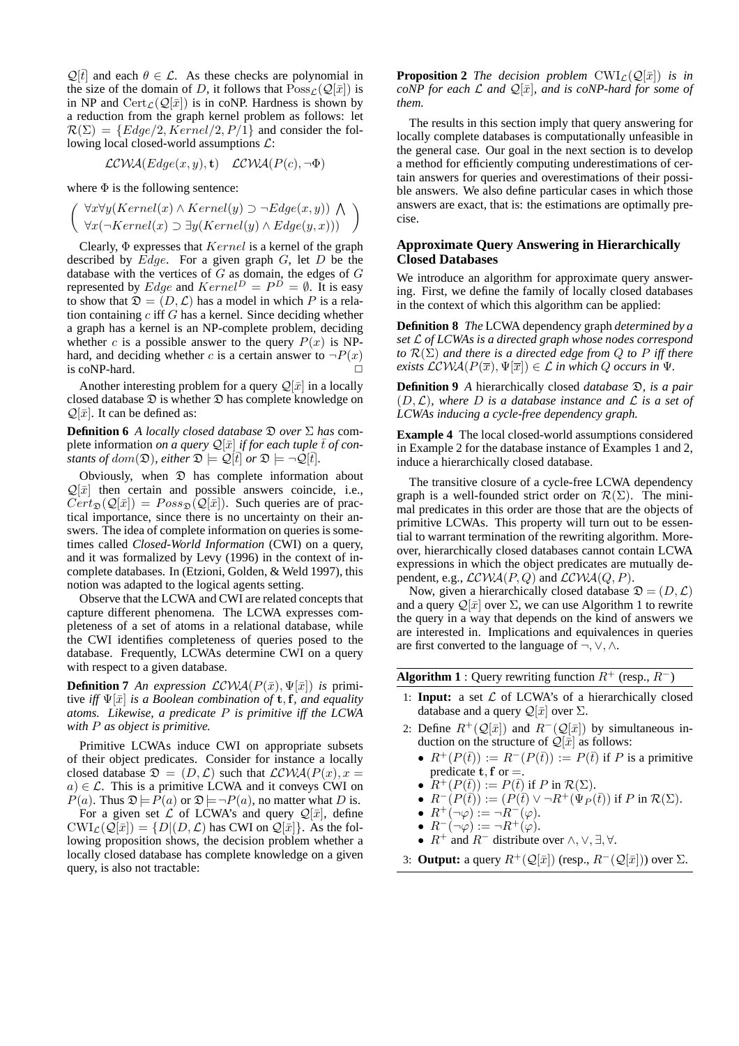$\mathcal{Q}[\vec{t}]$  and each  $\theta \in \mathcal{L}$ . As these checks are polynomial in the size of the domain of D, it follows that  $Poss_{\mathcal{L}}(Q[\bar{x}])$  is in NP and  $\text{Cert}_{\mathcal{L}}(\mathcal{Q}[\bar{x}])$  is in coNP. Hardness is shown by a reduction from the graph kernel problem as follows: let  $\mathcal{R}(\Sigma) = \{Edge/2, Kernel/2, P/\overline{1}\}\$ and consider the following local closed-world assumptions  $\mathcal{L}$ :

$$
\mathcal{LCWA}(Edge(x, y), t) \quad \mathcal{LCWA}(P(c), \neg \Phi)
$$

where  $\Phi$  is the following sentence:

$$
\left(\begin{array}{c}\forall x\forall y(Kernel(x)\land Kernel(y)\supset\neg Edge(x,y))\land\\ \forall x(\neg Kernel(x)\supset\exists y(Kernel(y)\land Edge(y,x)))\end{array}\right)
$$

Clearly,  $\Phi$  expresses that  $Kernel$  is a kernel of the graph described by  $Edge$ . For a given graph  $G$ , let  $D$  be the database with the vertices of  $G$  as domain, the edges of  $G$ represented by *Edge* and  $Kernel^D = P^D = \emptyset$ . It is easy to show that  $\mathfrak{D} = (D, \mathcal{L})$  has a model in which P is a relation containing  $c$  iff  $G$  has a kernel. Since deciding whether a graph has a kernel is an NP-complete problem, deciding whether c is a possible answer to the query  $P(x)$  is NPhard, and deciding whether c is a certain answer to  $\neg P(x)$ is coNP-hard.  $\Box$ 

Another interesting problem for a query  $\mathcal{Q}[\bar{x}]$  in a locally closed database  $\mathfrak D$  is whether  $\mathfrak D$  has complete knowledge on  $\mathcal{Q}[\bar{x}]$ . It can be defined as:

**Definition 6** *A locally closed database* D *over* Σ *has* complete information *on a query*  $\mathcal{Q}[\bar{x}]$  *if for each tuple*  $\bar{t}$  *of constants of dom* $(\mathfrak{D})$ *, either*  $\mathfrak{D} \models \mathcal{Q}[t]$  *or*  $\mathfrak{D} \models \neg \mathcal{Q}[t]$ *.* 

Obviously, when  $\mathfrak D$  has complete information about  $\mathcal{Q}[\bar{x}]$  then certain and possible answers coincide, i.e.,  $Cert_{\mathfrak{D}}(\mathcal{Q}[\bar{x}]) = Poss_{\mathfrak{D}}(\mathcal{Q}[\bar{x}])$ . Such queries are of practical importance, since there is no uncertainty on their answers. The idea of complete information on queries is sometimes called *Closed-World Information* (CWI) on a query, and it was formalized by Levy (1996) in the context of incomplete databases. In (Etzioni, Golden, & Weld 1997), this notion was adapted to the logical agents setting.

Observe that the LCWA and CWI are related concepts that capture different phenomena. The LCWA expresses completeness of a set of atoms in a relational database, while the CWI identifies completeness of queries posed to the database. Frequently, LCWAs determine CWI on a query with respect to a given database.

**Definition 7** *An expression*  $LCWA(P(\bar{x}), \Psi[\bar{x}])$  *is* primitive *iff*  $\Psi[\bar{x}]$  *is a Boolean combination of* **t**, **f**, and equality *atoms. Likewise, a predicate* P *is primitive iff the LCWA with* P *as object is primitive.*

Primitive LCWAs induce CWI on appropriate subsets of their object predicates. Consider for instance a locally closed database  $\mathfrak{D} = (D, \mathcal{L})$  such that  $\mathcal{LCWA}(P(x), x =$  $a) \in \mathcal{L}$ . This is a primitive LCWA and it conveys CWI on  $P(a)$ . Thus  $\mathfrak{D}|=P(a)$  or  $\mathfrak{D}|=-P(a)$ , no matter what D is.

For a given set  $\mathcal L$  of LCWA's and query  $\mathcal Q[\bar x]$ , define  $\text{CWI}_{\mathcal{L}}(\mathcal{Q}[\bar{x}]) = \{D|(D,\mathcal{L}) \text{ has CWI on } \mathcal{Q}[\bar{x}]\}.$  As the following proposition shows, the decision problem whether a locally closed database has complete knowledge on a given query, is also not tractable:

**Proposition 2** *The decision problem*  $CWI_{\mathcal{L}}(Q[\bar{x}])$  *is in coNP* for each  $\mathcal L$  *and*  $\mathcal Q[\bar x]$ *, and is coNP-hard for some of them.*

The results in this section imply that query answering for locally complete databases is computationally unfeasible in the general case. Our goal in the next section is to develop a method for efficiently computing underestimations of certain answers for queries and overestimations of their possible answers. We also define particular cases in which those answers are exact, that is: the estimations are optimally precise.

# **Approximate Query Answering in Hierarchically Closed Databases**

We introduce an algorithm for approximate query answering. First, we define the family of locally closed databases in the context of which this algorithm can be applied:

**Definition 8** *The* LCWA dependency graph *determined by a set* L *of LCWAs is a directed graph whose nodes correspond to* R(Σ) *and there is a directed edge from* Q *to* P *iff there exists*  $\mathcal{LCWA}(P(\overline{x}), \Psi[\overline{x}]) \in \mathcal{L}$  *in which* Q *occurs in*  $\Psi$ *.* 

**Definition 9** *A* hierarchically closed *database* D*, is a pair* (D,L)*, where* D *is a database instance and* L *is a set of LCWAs inducing a cycle-free dependency graph.*

**Example 4** The local closed-world assumptions considered in Example 2 for the database instance of Examples 1 and 2, induce a hierarchically closed database.

The transitive closure of a cycle-free LCWA dependency graph is a well-founded strict order on  $\mathcal{R}(\Sigma)$ . The minimal predicates in this order are those that are the objects of primitive LCWAs. This property will turn out to be essential to warrant termination of the rewriting algorithm. Moreover, hierarchically closed databases cannot contain LCWA expressions in which the object predicates are mutually dependent, e.g.,  $LCWA(P,Q)$  and  $LCWA(Q, P)$ .

Now, given a hierarchically closed database  $\mathfrak{D} = (D, \mathcal{L})$ and a query  $\mathcal{Q}[\bar{x}]$  over  $\Sigma$ , we can use Algorithm 1 to rewrite the query in a way that depends on the kind of answers we are interested in. Implications and equivalences in queries are first converted to the language of ¬,∨,∧.

**Algorithm 1** : Query rewriting function  $R^+$  (resp.,  $R^-$ )

- 1: **Input:** a set  $\mathcal L$  of LCWA's of a hierarchically closed database and a query  $\mathcal{Q}[\bar{x}]$  over  $\Sigma$ .
- 2: Define  $R^+(\mathcal{Q}[\bar{x}])$  and  $R^-(\mathcal{Q}[\bar{x}])$  by simultaneous induction on the structure of  $\mathcal{Q}[\bar{x}]$  as follows:
	- $R^+(P(\bar{t})) := R^-(P(\bar{t})) := P(\bar{t})$  if P is a primitive predicate  $t, f$  or  $=$ .
	- $R^+(P(\bar{t})) := P(\bar{t})$  if P in  $\mathcal{R}(\Sigma)$ .
	- $R^-(P(\bar{t})) := (P(\bar{t}) \vee \neg R^+(\Psi_P(\bar{t}))$  if P in  $\mathcal{R}(\Sigma)$ .
	- $R^+(\neg\varphi) := \neg R^-(\varphi)$ .
	- $R^{-}(\neg\varphi) := \neg R^{+}(\varphi)$ . •  $R^+$  and  $R^-$  distribute over  $\wedge$ ,  $\vee$ ,  $\exists$ ,  $\forall$ .
	-
- 3: **Output:** a query  $R^+(\mathcal{Q}[\bar{x}])$  (resp.,  $R^-(\mathcal{Q}[\bar{x}])$ ) over  $\Sigma$ .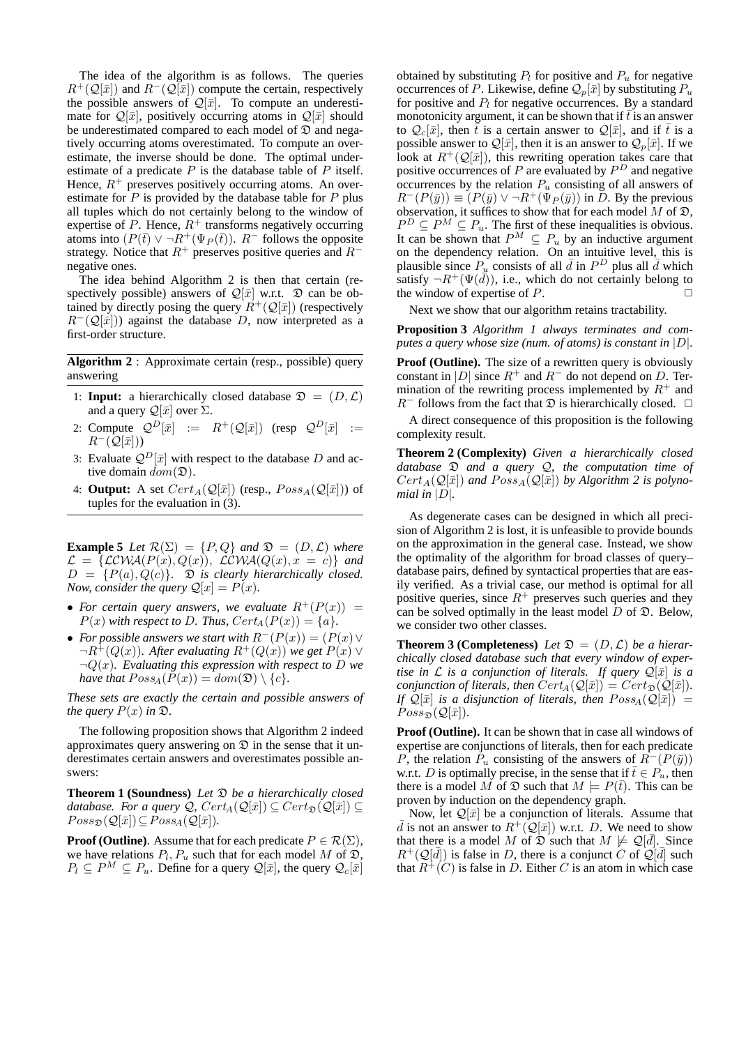The idea of the algorithm is as follows. The queries  $R^+(\mathcal{Q}[\bar{x}]$  and  $R^-(\mathcal{Q}[\bar{x}]$  compute the certain, respectively the possible answers of  $\mathcal{Q}[\bar{x}]$ . To compute an underestimate for  $\mathcal{Q}[\bar{x}]$ , positively occurring atoms in  $\mathcal{Q}[\bar{x}]$  should be underestimated compared to each model of  $\mathfrak D$  and negatively occurring atoms overestimated. To compute an overestimate, the inverse should be done. The optimal underestimate of a predicate  $P$  is the database table of  $P$  itself. Hence,  $R^+$  preserves positively occurring atoms. An overestimate for  $P$  is provided by the database table for  $P$  plus all tuples which do not certainly belong to the window of expertise of P. Hence,  $R^+$  transforms negatively occurring atoms into  $(P(\bar{t}) \vee \neg R^+(\Psi_P(\bar{t}))$ .  $R^-$  follows the opposite strategy. Notice that  $R^+$  preserves positive queries and  $R^$ negative ones.

The idea behind Algorithm 2 is then that certain (respectively possible) answers of  $\mathcal{Q}[\bar{x}]$  w.r.t.  $\mathfrak D$  can be obtained by directly posing the query  $\overline{R}^+(\mathcal{Q}[\overline{x}])$  (respectively  $R^{-}(\mathcal{Q}[\bar{x}])$  against the database D, now interpreted as a first-order structure.

**Algorithm 2** : Approximate certain (resp., possible) query answering

- 1: **Input:** a hierarchically closed database  $\mathcal{D} = (D, \mathcal{L})$ and a query  $\mathcal{Q}[\bar{x}]$  over  $\Sigma$ .
- 2: Compute  $Q^D[\bar{x}]$  :=  $R^+(\mathcal{Q}[\bar{x}])$  (resp  $Q^D[\bar{x}]$  :=  $R^{-}(\mathcal{Q}[\bar{x}]))$
- 3: Evaluate  $Q^D[\bar{x}]$  with respect to the database D and active domain  $dom(\mathfrak{D})$ .
- 4: **Output:** A set  $Cert_A(\mathcal{Q}[\bar{x}])$  (resp.,  $Poss_A(\mathcal{Q}[\bar{x}])$ ) of tuples for the evaluation in (3).

**Example 5** *Let*  $\mathcal{R}(\Sigma) = \{P, Q\}$  *and*  $\mathcal{D} = (D, \mathcal{L})$  *where*  $\mathcal{L} = \{ \mathcal{LCWA}(P(x), Q(x)), \ \mathcal{LCWA}(Q(x), x = c) \}$  and  $D = {P(a), Q(c)}$ *.*  $\mathfrak{D}$  *is clearly hierarchically closed. Now, consider the query*  $\mathcal{Q}[x] = P(x)$ *.* 

- For certain query answers, we evaluate  $R^+(P(x)) =$  $P(x)$  with respect to D. Thus,  $Cert_A(P(x)) = \{a\}.$
- For possible answers we start with  $R^{-}(P(x)) = (P(x) \vee P(x))$  $\neg R^+(Q(x))$ *. After evaluating*  $R^+(Q(x))$  *we get*  $P(x)$   $\vee$  $\neg Q(x)$ *. Evaluating this expression with respect to* D *we have that*  $Poss_A(P(x)) = dom(\mathfrak{D}) \setminus \{c\}.$

*These sets are exactly the certain and possible answers of the query*  $P(x)$  *in*  $\mathfrak{D}$ *.* 

The following proposition shows that Algorithm 2 indeed approximates query answering on  $\mathfrak D$  in the sense that it underestimates certain answers and overestimates possible answers:

**Theorem 1 (Soundness)** *Let* D *be a hierarchically closed database. For a query*  $\mathcal{Q}$ ,  $Cert_A(\mathcal{Q}[\bar{x}]) \subseteq Cert_{\mathfrak{D}}(\mathcal{Q}[\bar{x}]) \subseteq$  $Poss_{\mathfrak{D}}(\mathcal{Q}[\bar{x}])\subseteq Poss_{A}(\mathcal{Q}[\bar{x}]).$ 

**Proof (Outline)**. Assume that for each predicate  $P \in \mathcal{R}(\Sigma)$ , we have relations  $P_l$ ,  $P_u$  such that for each model M of  $\mathfrak{D}$ ,  $P_l \subseteq P^M \subseteq P_u$ . Define for a query  $\mathcal{Q}[\bar{x}]$ , the query  $\mathcal{Q}_c[\bar{x}]$ 

obtained by substituting  $P_l$  for positive and  $P_u$  for negative occurrences of P. Likewise, define  $\mathcal{Q}_n[\bar{x}]$  by substituting  $P_u$ for positive and  $P_l$  for negative occurrences. By a standard monotonicity argument, it can be shown that if  $\bar{t}$  is an answer to  $Q_c[\bar{x}]$ , then  $\bar{t}$  is a certain answer to  $\mathcal{Q}[\bar{x}]$ , and if  $\bar{t}$  is a possible answer to  $\mathcal{Q}[\bar{x}]$ , then it is an answer to  $\mathcal{Q}_p[\bar{x}]$ . If we look at  $R^+(\mathcal{Q}[\bar{x}])$ , this rewriting operation takes care that positive occurrences of  $P$  are evaluated by  $P<sup>D</sup>$  and negative occurrences by the relation  $P_u$  consisting of all answers of  $R^{-}(P(\bar{y})) \equiv (P(\bar{y}) \vee \neg R^{+}(\Psi_{P}(\bar{y}))$  in D. By the previous observation, it suffices to show that for each model  $M$  of  $\mathfrak{D}$ ,  $P^D \subseteq P^M \subseteq P_u$ . The first of these inequalities is obvious. It can be shown that  $P^M \subseteq P_u$  by an inductive argument on the dependency relation. On an intuitive level, this is plausible since  $P_{\underline{u}}$  consists of all  $\overline{d}$  in  $P^D$  plus all  $\overline{d}$  which satisfy  $\neg R^+(\Psi(\bar{d}))$ , i.e., which do not certainly belong to the window of expertise of  $P$ .

Next we show that our algorithm retains tractability.

**Proposition 3** *Algorithm 1 always terminates and computes a query whose size (num. of atoms) is constant in* |D|*.*

**Proof (Outline).** The size of a rewritten query is obviously constant in |D| since  $R^+$  and  $R^-$  do not depend on D. Termination of the rewriting process implemented by  $R^+$  and  $R^-$  follows from the fact that  $\mathfrak D$  is hierarchically closed.  $\Box$ 

A direct consequence of this proposition is the following complexity result.

**Theorem 2 (Complexity)** *Given a hierarchically closed database* D *and a query* Q*, the computation time of*  $Cert_A(\mathcal{Q}[\bar{x}])$  and  $Poss_A(\mathcal{Q}[\bar{x}])$  by Algorithm 2 is polyno*mial in*  $|D|$ *.* 

As degenerate cases can be designed in which all precision of Algorithm 2 is lost, it is unfeasible to provide bounds on the approximation in the general case. Instead, we show the optimality of the algorithm for broad classes of query– database pairs, defined by syntactical properties that are easily verified. As a trivial case, our method is optimal for all positive queries, since  $R^+$  preserves such queries and they can be solved optimally in the least model  $D$  of  $\mathfrak{D}$ . Below, we consider two other classes.

**Theorem 3 (Completeness)** Let  $\mathfrak{D} = (D, \mathcal{L})$  be a hierar*chically closed database such that every window of expertise in*  $\mathcal L$  *is a conjunction of literals. If query*  $\mathcal Q[\bar x]$  *is a conjunction of literals, then*  $Cert_A(\mathcal{Q}[\bar{x}]) = Cert_{\mathfrak{D}}(\mathcal{Q}[\bar{x}]).$ *If*  $\mathcal{Q}[\bar{x}]$  *is a disjunction of literals, then*  $Poss_A(\mathcal{Q}[\bar{x}]) =$  $Poss_{\mathfrak{D}}(\mathcal{Q}[\bar{x}]).$ 

**Proof (Outline).** It can be shown that in case all windows of expertise are conjunctions of literals, then for each predicate P, the relation  $\tilde{P}_u$  consisting of the answers of  $\tilde{R}^{-}(P(\bar{y}))$ w.r.t. D is optimally precise, in the sense that if  $\overline{t} \in P_u$ , then there is a model M of  $\mathfrak{D}$  such that  $M \models P(\bar{t})$ . This can be proven by induction on the dependency graph.

Now, let  $\mathcal{Q}[\bar{x}]$  be a conjunction of literals. Assume that  $\bar{d}$  is not an answer to  $R^+(\mathcal{Q}[\bar{x}])$  w.r.t. D. We need to show that there is a model M of  $\mathfrak{D}$  such that  $M \not\models \mathcal{Q}[\bar{d}]$ . Since  $R^+(\mathcal{Q}[\bar{d}])$  is false in D, there is a conjunct C of  $\mathcal{Q}[\bar{d}]$  such that  $R^+(C)$  is false in D. Either C is an atom in which case